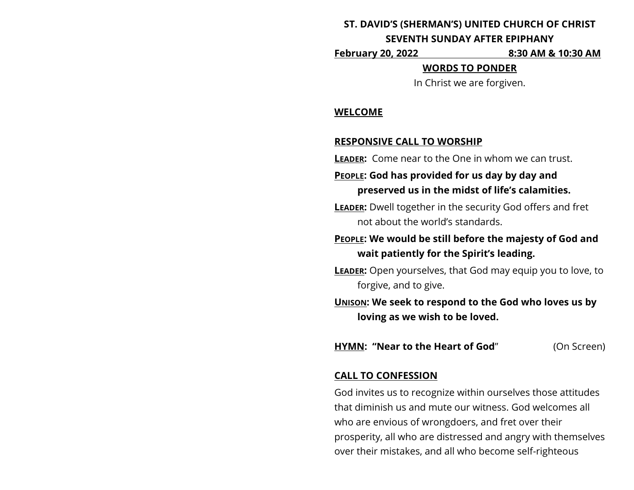## **ST. DAVID'S (SHERMAN'S) UNITED CHURCH OF CHRIST**

#### **SEVENTH SUNDAY AFTER EPIPHANY**

**February 20, 2022 8:30 AM & 10:30 AM**

## **WORDS TO PONDER**

In Christ we are forgiven.

#### **WELCOME**

# **RESPONSIVE CALL TO WORSHIP**

**LEADER:** Come near to the One in whom we can trust.

# **PEOPLE: God has provided for us day by day and preserved us in the midst of life's calamities.**

**LEADER:** Dwell together in the security God offers and fret not about the world's standards.

# **PEOPLE: We would be still before the majesty of God and wait patiently for the Spirit's leading.**

**LEADER:** Open yourselves, that God may equip you to love, to forgive, and to give.

**UNISON: We seek to respond to the God who loves us by loving as we wish to be loved.**

**HYMN: "Near to the Heart of God**" (On Screen)

# **CALL TO CONFESSION**

God invites us to recognize within ourselves those attitudes that diminish us and mute our witness. God welcomes all who are envious of wrongdoers, and fret over their prosperity, all who are distressed and angry with themselves over their mistakes, and all who become self-righteous